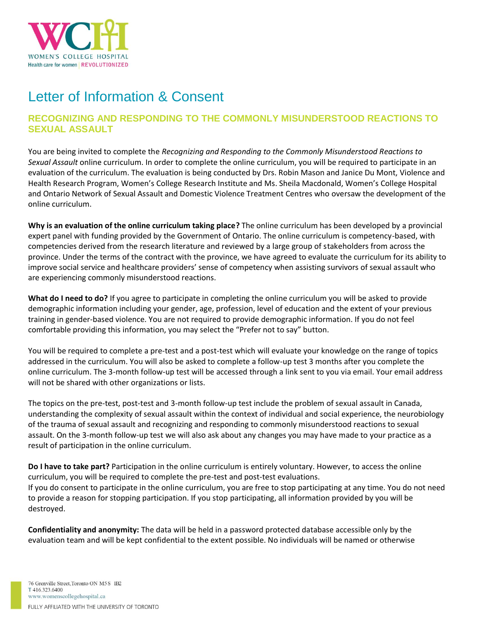

# Letter of Information & Consent

# **RECOGNIZING AND RESPONDING TO THE COMMONLY MISUNDERSTOOD REACTIONS TO SEXUAL ASSAULT**

You are being invited to complete the *Recognizing and Responding to the Commonly Misunderstood Reactions to Sexual Assault* online curriculum. In order to complete the online curriculum, you will be required to participate in an evaluation of the curriculum. The evaluation is being conducted by Drs. Robin Mason and Janice Du Mont, Violence and Health Research Program, Women's College Research Institute and Ms. Sheila Macdonald, Women's College Hospital and Ontario Network of Sexual Assault and Domestic Violence Treatment Centres who oversaw the development of the online curriculum.

**Why is an evaluation of the online curriculum taking place?** The online curriculum has been developed by a provincial expert panel with funding provided by the Government of Ontario. The online curriculum is competency-based, with competencies derived from the research literature and reviewed by a large group of stakeholders from across the province. Under the terms of the contract with the province, we have agreed to evaluate the curriculum for its ability to improve social service and healthcare providers' sense of competency when assisting survivors of sexual assault who are experiencing commonly misunderstood reactions.

**What do I need to do?** If you agree to participate in completing the online curriculum you will be asked to provide demographic information including your gender, age, profession, level of education and the extent of your previous training in gender-based violence. You are not required to provide demographic information. If you do not feel comfortable providing this information, you may select the "Prefer not to say" button.

You will be required to complete a pre-test and a post-test which will evaluate your knowledge on the range of topics addressed in the curriculum. You will also be asked to complete a follow-up test 3 months after you complete the online curriculum. The 3-month follow-up test will be accessed through a link sent to you via email. Your email address will not be shared with other organizations or lists.

The topics on the pre-test, post-test and 3-month follow-up test include the problem of sexual assault in Canada, understanding the complexity of sexual assault within the context of individual and social experience, the neurobiology of the trauma of sexual assault and recognizing and responding to commonly misunderstood reactions to sexual assault. On the 3-month follow-up test we will also ask about any changes you may have made to your practice as a result of participation in the online curriculum.

**Do I have to take part?** Participation in the online curriculum is entirely voluntary. However, to access the online curriculum, you will be required to complete the pre-test and post-test evaluations. If you do consent to participate in the online curriculum, you are free to stop participating at any time. You do not need to provide a reason for stopping participation. If you stop participating, all information provided by you will be destroyed.

**Confidentiality and anonymity:** The data will be held in a password protected database accessible only by the evaluation team and will be kept confidential to the extent possible. No individuals will be named or otherwise